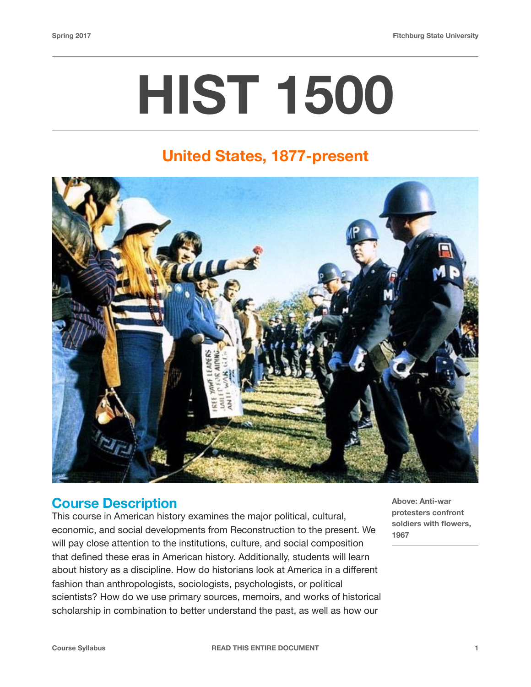# **HIST 1500**

## **United States, 1877-present**



#### **Course Description**

This course in American history examines the major political, cultural, economic, and social developments from Reconstruction to the present. We will pay close attention to the institutions, culture, and social composition that defined these eras in American history. Additionally, students will learn about history as a discipline. How do historians look at America in a different fashion than anthropologists, sociologists, psychologists, or political scientists? How do we use primary sources, memoirs, and works of historical scholarship in combination to better understand the past, as well as how our

**Above: Anti-war protesters confront soldiers with flowers, 1967**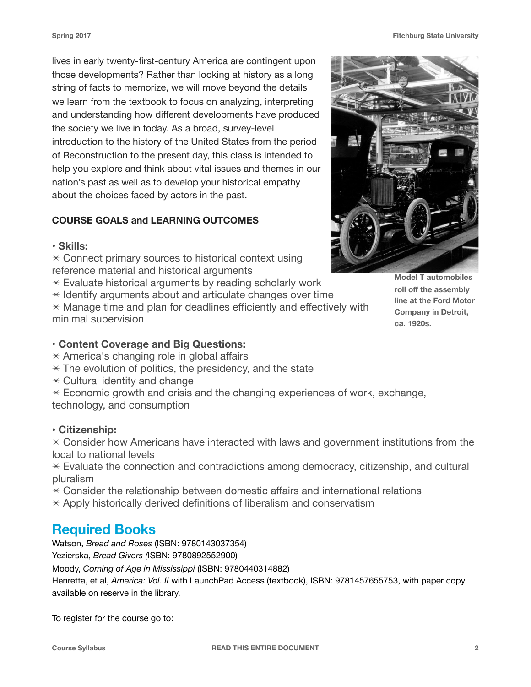lives in early twenty-first-century America are contingent upon those developments? Rather than looking at history as a long string of facts to memorize, we will move beyond the details we learn from the textbook to focus on analyzing, interpreting and understanding how different developments have produced the society we live in today. As a broad, survey-level introduction to the history of the United States from the period of Reconstruction to the present day, this class is intended to help you explore and think about vital issues and themes in our nation's past as well as to develop your historical empathy about the choices faced by actors in the past.

#### **COURSE GOALS and LEARNING OUTCOMES**

#### **• Skills:**

✴ Connect primary sources to historical context using reference material and historical arguments

✴ Evaluate historical arguments by reading scholarly work

✴ Identify arguments about and articulate changes over time ✴ Manage time and plan for deadlines efficiently and effectively with minimal supervision

#### **• Content Coverage and Big Questions:**

✴ America's changing role in global affairs

- $*$  The evolution of politics, the presidency, and the state
- ✴ Cultural identity and change

 $*$  Economic growth and crisis and the changing experiences of work, exchange, technology, and consumption

#### **• Citizenship:**

✴ Consider how Americans have interacted with laws and government institutions from the local to national levels

✴ Evaluate the connection and contradictions among democracy, citizenship, and cultural pluralism

- ✴ Consider the relationship between domestic affairs and international relations
- ✴ Apply historically derived definitions of liberalism and conservatism

## **Required Books**

Watson, *Bread and Roses* (ISBN: 9780143037354)

Yezierska, *Bread Givers (*ISBN: 9780892552900)

Moody, *Coming of Age in Mississippi* (ISBN: 9780440314882)

Henretta, et al, *America: Vol. II* with LaunchPad Access (textbook), ISBN: 9781457655753, with paper copy available on reserve in the library.

To register for the course go to:

**Model T automobiles roll off the assembly line at the Ford Motor Company in Detroit,** 

**ca. 1920s.**

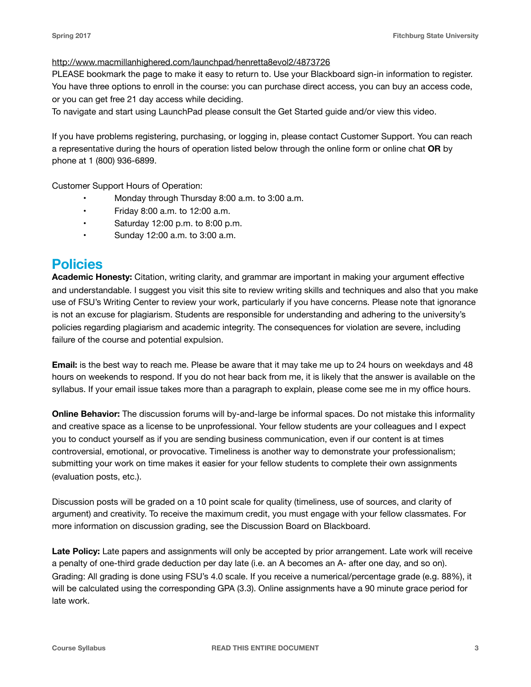#### <http://www.macmillanhighered.com/launchpad/henretta8evol2/4873726>

PLEASE bookmark the page to make it easy to return to. Use your Blackboard sign-in information to register. You have three options to enroll in the course: you can purchase direct access, you can buy an access code, or you can get free 21 day access while deciding.

To navigate and start using LaunchPad please consult the Get Started guide and/or view this video.

If you have problems registering, purchasing, or logging in, please contact Customer Support. You can reach a representative during the hours of operation listed below through the online form or online chat **OR** by phone at 1 (800) 936-6899.

Customer Support Hours of Operation:

- Monday through Thursday 8:00 a.m. to 3:00 a.m.
- Friday 8:00 a.m. to 12:00 a.m.
- Saturday 12:00 p.m. to 8:00 p.m.
- Sunday 12:00 a.m. to 3:00 a.m.

### **Policies**

**Academic Honesty:** Citation, writing clarity, and grammar are important in making your argument effective and understandable. I suggest you visit this site to review writing skills and techniques and also that you make use of FSU's Writing Center to review your work, particularly if you have concerns. Please note that ignorance is not an excuse for plagiarism. Students are responsible for understanding and adhering to the university's policies regarding plagiarism and academic integrity. The consequences for violation are severe, including failure of the course and potential expulsion.

**Email:** is the best way to reach me. Please be aware that it may take me up to 24 hours on weekdays and 48 hours on weekends to respond. If you do not hear back from me, it is likely that the answer is available on the syllabus. If your email issue takes more than a paragraph to explain, please come see me in my office hours.

**Online Behavior:** The discussion forums will by-and-large be informal spaces. Do not mistake this informality and creative space as a license to be unprofessional. Your fellow students are your colleagues and I expect you to conduct yourself as if you are sending business communication, even if our content is at times controversial, emotional, or provocative. Timeliness is another way to demonstrate your professionalism; submitting your work on time makes it easier for your fellow students to complete their own assignments (evaluation posts, etc.).

Discussion posts will be graded on a 10 point scale for quality (timeliness, use of sources, and clarity of argument) and creativity. To receive the maximum credit, you must engage with your fellow classmates. For more information on discussion grading, see the Discussion Board on Blackboard.

**Late Policy:** Late papers and assignments will only be accepted by prior arrangement. Late work will receive a penalty of one-third grade deduction per day late (i.e. an A becomes an A- after one day, and so on). Grading: All grading is done using FSU's 4.0 scale. If you receive a numerical/percentage grade (e.g. 88%), it will be calculated using the corresponding GPA (3.3). Online assignments have a 90 minute grace period for late work.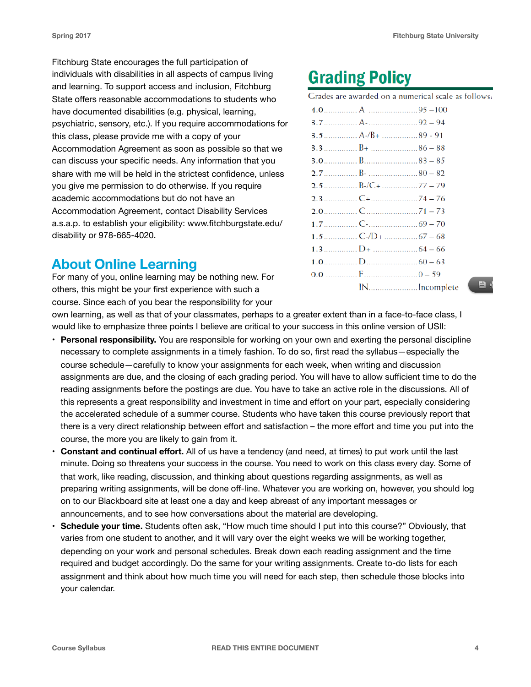Fitchburg State encourages the full participation of individuals with disabilities in all aspects of campus living and learning. To support access and inclusion, Fitchburg State offers reasonable accommodations to students who have documented disabilities (e.g. physical, learning, psychiatric, sensory, etc.). If you require accommodations for this class, please provide me with a copy of your Accommodation Agreement as soon as possible so that we can discuss your specific needs. Any information that you share with me will be held in the strictest confidence, unless you give me permission to do otherwise. If you require academic accommodations but do not have an Accommodation Agreement, contact Disability Services a.s.a.p. to establish your eligibility: www.fitchburgstate.edu/ disability or 978-665-4020.

## **About Online Learning**

For many of you, online learning may be nothing new. For others, this might be your first experience with such a course. Since each of you bear the responsibility for your

## **Grading Policy**

Grades are awarded on a numerical scale as follows:

| INIncomplete |  |
|--------------|--|
|              |  |

 $B<sub>6</sub>$ 

own learning, as well as that of your classmates, perhaps to a greater extent than in a face-to-face class, I would like to emphasize three points I believe are critical to your success in this online version of USII:

- **Personal responsibility.** You are responsible for working on your own and exerting the personal discipline necessary to complete assignments in a timely fashion. To do so, first read the syllabus—especially the course schedule—carefully to know your assignments for each week, when writing and discussion assignments are due, and the closing of each grading period. You will have to allow sufficient time to do the reading assignments before the postings are due. You have to take an active role in the discussions. All of this represents a great responsibility and investment in time and effort on your part, especially considering the accelerated schedule of a summer course. Students who have taken this course previously report that there is a very direct relationship between effort and satisfaction – the more effort and time you put into the course, the more you are likely to gain from it.
- **Constant and continual effort.** All of us have a tendency (and need, at times) to put work until the last minute. Doing so threatens your success in the course. You need to work on this class every day. Some of that work, like reading, discussion, and thinking about questions regarding assignments, as well as preparing writing assignments, will be done off-line. Whatever you are working on, however, you should log on to our Blackboard site at least one a day and keep abreast of any important messages or announcements, and to see how conversations about the material are developing.
- **Schedule your time.** Students often ask, "How much time should I put into this course?" Obviously, that varies from one student to another, and it will vary over the eight weeks we will be working together, depending on your work and personal schedules. Break down each reading assignment and the time required and budget accordingly. Do the same for your writing assignments. Create to-do lists for each assignment and think about how much time you will need for each step, then schedule those blocks into your calendar.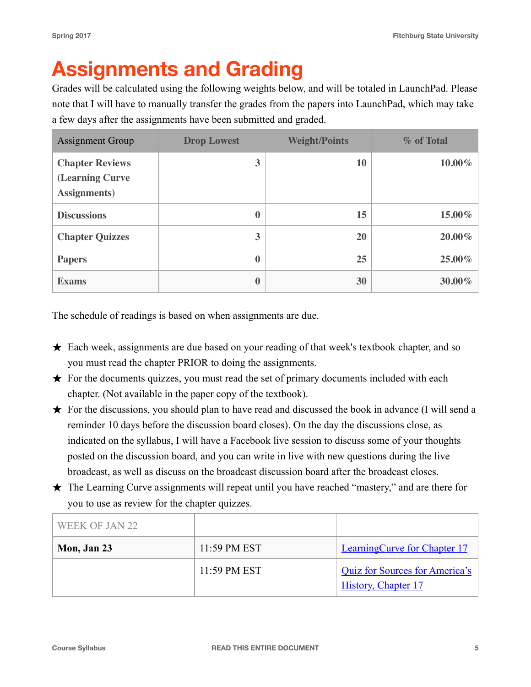## **Assignments and Grading**

Grades will be calculated using the following weights below, and will be totaled in LaunchPad. Please note that I will have to manually transfer the grades from the papers into LaunchPad, which may take a few days after the assignments have been submitted and graded.

| <b>Assignment Group</b>                                           | <b>Drop Lowest</b> | <b>Weight/Points</b> | % of Total |
|-------------------------------------------------------------------|--------------------|----------------------|------------|
| <b>Chapter Reviews</b><br>(Learning Curve<br><b>Assignments</b> ) | 3                  | 10                   | $10.00\%$  |
| <b>Discussions</b>                                                | 0                  | 15                   | 15.00%     |
| <b>Chapter Quizzes</b>                                            | 3                  | 20                   | 20.00%     |
| <b>Papers</b>                                                     | $\bf{0}$           | 25                   | 25.00%     |
| <b>Exams</b>                                                      | $\bf{0}$           | 30                   | 30.00%     |

The schedule of readings is based on when assignments are due.

- ★ Each week, assignments are due based on your reading of that week's textbook chapter, and so you must read the chapter PRIOR to doing the assignments.
- ★ For the documents quizzes, you must read the set of primary documents included with each chapter. (Not available in the paper copy of the textbook).
- ★ For the discussions, you should plan to have read and discussed the book in advance (I will send a reminder 10 days before the discussion board closes). On the day the discussions close, as indicated on the syllabus, I will have a Facebook live session to discuss some of your thoughts posted on the discussion board, and you can write in live with new questions during the live broadcast, as well as discuss on the broadcast discussion board after the broadcast closes.
- ★ The Learning Curve assignments will repeat until you have reached "mastery," and are there for you to use as review for the chapter quizzes.

| WEEK OF JAN 22 |              |                                                                     |
|----------------|--------------|---------------------------------------------------------------------|
| Mon, Jan 23    | 11:59 PM EST | <b>LearningCurve for Chapter 17</b>                                 |
|                | 11:59 PM EST | <b>Quiz for Sources for America's</b><br><b>History, Chapter 17</b> |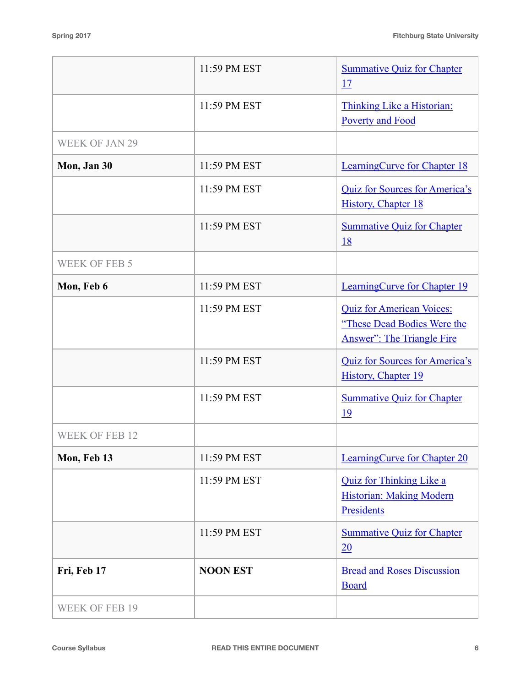|                       | 11:59 PM EST    | <b>Summative Quiz for Chapter</b><br>17                                                              |
|-----------------------|-----------------|------------------------------------------------------------------------------------------------------|
|                       | 11:59 PM EST    | Thinking Like a Historian:<br><b>Poverty and Food</b>                                                |
| <b>WEEK OF JAN 29</b> |                 |                                                                                                      |
| Mon, Jan 30           | 11:59 PM EST    | LearningCurve for Chapter 18                                                                         |
|                       | 11:59 PM EST    | <b>Quiz for Sources for America's</b><br><b>History, Chapter 18</b>                                  |
|                       | 11:59 PM EST    | <b>Summative Quiz for Chapter</b><br><u>18</u>                                                       |
| <b>WEEK OF FEB 5</b>  |                 |                                                                                                      |
| Mon, Feb 6            | 11:59 PM EST    | <b>LearningCurve for Chapter 19</b>                                                                  |
|                       | 11:59 PM EST    | <b>Quiz for American Voices:</b><br>"These Dead Bodies Were the<br><b>Answer": The Triangle Fire</b> |
|                       | 11:59 PM EST    | <b>Quiz for Sources for America's</b><br>History, Chapter 19                                         |
|                       | 11:59 PM EST    | <b>Summative Quiz for Chapter</b><br>19                                                              |
| <b>WEEK OF FEB 12</b> |                 |                                                                                                      |
| Mon, Feb 13           | 11:59 PM EST    | <b>LearningCurve for Chapter 20</b>                                                                  |
|                       | 11:59 PM EST    | <b>Quiz for Thinking Like a</b><br><b>Historian: Making Modern</b><br>Presidents                     |
|                       | 11:59 PM EST    | <b>Summative Quiz for Chapter</b><br>20                                                              |
| Fri, Feb 17           | <b>NOON EST</b> | <b>Bread and Roses Discussion</b><br><b>Board</b>                                                    |
| <b>WEEK OF FEB 19</b> |                 |                                                                                                      |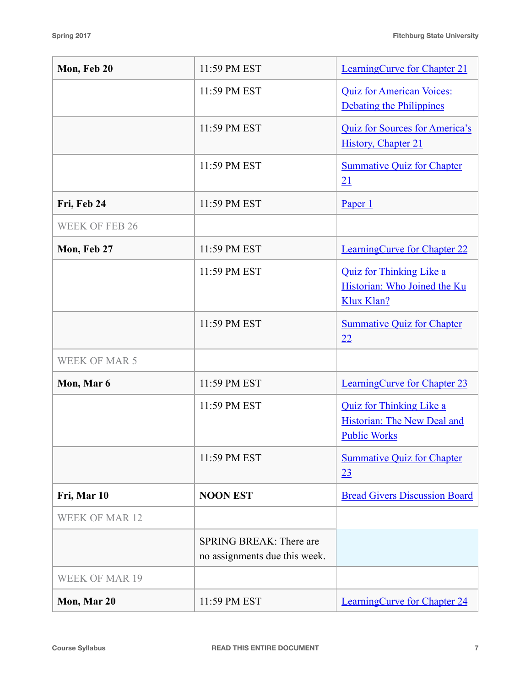| Mon, Feb 20           | 11:59 PM EST                                                    | <b>LearningCurve for Chapter 21</b>                                                   |
|-----------------------|-----------------------------------------------------------------|---------------------------------------------------------------------------------------|
|                       | 11:59 PM EST                                                    | <b>Quiz for American Voices:</b><br>Debating the Philippines                          |
|                       | 11:59 PM EST                                                    | Quiz for Sources for America's<br>History, Chapter 21                                 |
|                       | 11:59 PM EST                                                    | <b>Summative Quiz for Chapter</b><br>21                                               |
| Fri, Feb 24           | 11:59 PM EST                                                    | Paper 1                                                                               |
| <b>WEEK OF FEB 26</b> |                                                                 |                                                                                       |
| Mon, Feb 27           | 11:59 PM EST                                                    | <b>LearningCurve for Chapter 22</b>                                                   |
|                       | 11:59 PM EST                                                    | <b>Quiz for Thinking Like a</b><br>Historian: Who Joined the Ku<br>Klux Klan?         |
|                       | 11:59 PM EST                                                    | <b>Summative Quiz for Chapter</b><br>22                                               |
| <b>WEEK OF MAR 5</b>  |                                                                 |                                                                                       |
| Mon, Mar 6            | 11:59 PM EST                                                    | <b>LearningCurve for Chapter 23</b>                                                   |
|                       | 11:59 PM EST                                                    | <b>Quiz for Thinking Like a</b><br>Historian: The New Deal and<br><b>Public Works</b> |
|                       | 11:59 PM EST                                                    | <b>Summative Quiz for Chapter</b><br>23                                               |
| Fri, Mar 10           | <b>NOON EST</b>                                                 | <b>Bread Givers Discussion Board</b>                                                  |
| <b>WEEK OF MAR 12</b> |                                                                 |                                                                                       |
|                       | <b>SPRING BREAK: There are</b><br>no assignments due this week. |                                                                                       |
| <b>WEEK OF MAR 19</b> |                                                                 |                                                                                       |
| Mon, Mar 20           | 11:59 PM EST                                                    | <b>LearningCurve for Chapter 24</b>                                                   |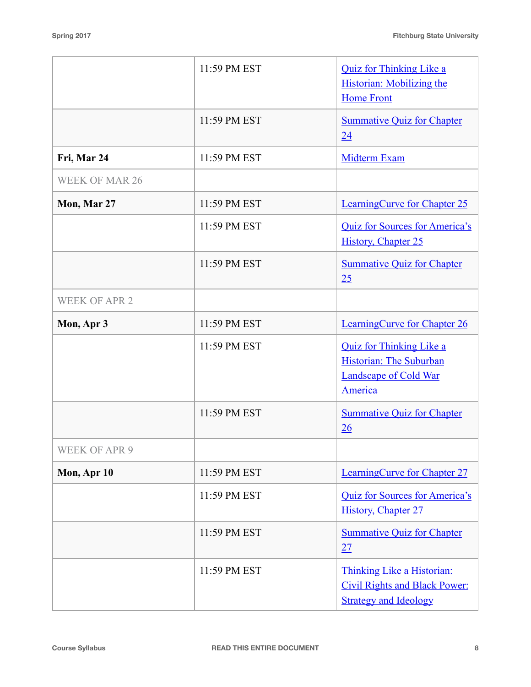|                       | 11:59 PM EST | <b>Quiz for Thinking Like a</b><br><b>Historian:</b> Mobilizing the<br><b>Home Front</b>              |
|-----------------------|--------------|-------------------------------------------------------------------------------------------------------|
|                       | 11:59 PM EST | <b>Summative Quiz for Chapter</b><br>24                                                               |
| Fri, Mar 24           | 11:59 PM EST | Midterm Exam                                                                                          |
| <b>WEEK OF MAR 26</b> |              |                                                                                                       |
| Mon, Mar 27           | 11:59 PM EST | <b>LearningCurve for Chapter 25</b>                                                                   |
|                       | 11:59 PM EST | <b>Quiz for Sources for America's</b><br><b>History, Chapter 25</b>                                   |
|                       | 11:59 PM EST | <b>Summative Quiz for Chapter</b><br>25                                                               |
| <b>WEEK OF APR 2</b>  |              |                                                                                                       |
| Mon, Apr 3            | 11:59 PM EST | <b>LearningCurve for Chapter 26</b>                                                                   |
|                       | 11:59 PM EST | <b>Quiz for Thinking Like a</b><br>Historian: The Suburban<br><b>Landscape of Cold War</b><br>America |
|                       | 11:59 PM EST | <b>Summative Quiz for Chapter</b><br>26                                                               |
| <b>WEEK OF APR 9</b>  |              |                                                                                                       |
| Mon, Apr 10           | 11:59 PM EST | LearningCurve for Chapter 27                                                                          |
|                       | 11:59 PM EST | Quiz for Sources for America's<br>History, Chapter 27                                                 |
|                       | 11:59 PM EST | <b>Summative Quiz for Chapter</b><br>27                                                               |
|                       | 11:59 PM EST | Thinking Like a Historian:<br><b>Civil Rights and Black Power:</b><br><b>Strategy and Ideology</b>    |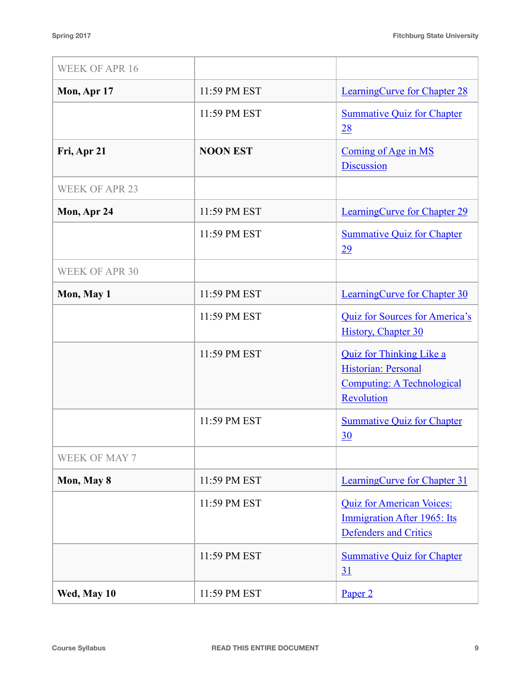| <b>WEEK OF APR 16</b> |                 |                                                                                                        |
|-----------------------|-----------------|--------------------------------------------------------------------------------------------------------|
| Mon, Apr 17           | 11:59 PM EST    | <b>LearningCurve for Chapter 28</b>                                                                    |
|                       | 11:59 PM EST    | <b>Summative Quiz for Chapter</b><br>28                                                                |
| Fri, Apr 21           | <b>NOON EST</b> | Coming of Age in MS<br><b>Discussion</b>                                                               |
| <b>WEEK OF APR 23</b> |                 |                                                                                                        |
| Mon, Apr 24           | 11:59 PM EST    | <b>LearningCurve for Chapter 29</b>                                                                    |
|                       | 11:59 PM EST    | <b>Summative Quiz for Chapter</b><br>29                                                                |
| <b>WEEK OF APR 30</b> |                 |                                                                                                        |
| Mon, May 1            | 11:59 PM EST    | <b>LearningCurve for Chapter 30</b>                                                                    |
|                       | 11:59 PM EST    | <b>Quiz for Sources for America's</b><br><b>History, Chapter 30</b>                                    |
|                       | 11:59 PM EST    | <b>Quiz for Thinking Like a</b><br>Historian: Personal<br>Computing: A Technological<br>Revolution     |
|                       | 11:59 PM EST    | <b>Summative Quiz for Chapter</b><br>30                                                                |
| <b>WEEK OF MAY 7</b>  |                 |                                                                                                        |
| Mon, May 8            | 11:59 PM EST    | <b>LearningCurve for Chapter 31</b>                                                                    |
|                       | 11:59 PM EST    | <b>Quiz for American Voices:</b><br><b>Immigration After 1965: Its</b><br><b>Defenders and Critics</b> |
|                       | 11:59 PM EST    | <b>Summative Quiz for Chapter</b><br>31                                                                |
| Wed, May 10           | 11:59 PM EST    | Paper <sub>2</sub>                                                                                     |